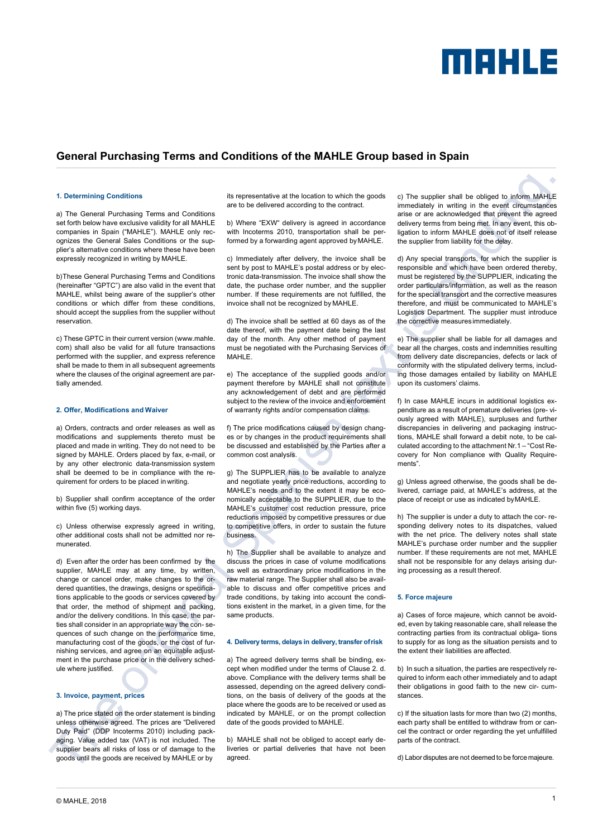

### **General Purchasing Terms and Conditions of the MAHLE Group based in Spain**

### **1. Determining Conditions**

a) The General Purchasing Terms and Conditions set forth below have exclusive validity for all MAHLE companies in Spain ("MAHLE"). MAHLE only recognizes the General Sales Conditions or the supplier's alternative conditions where these have been expressly recognized in writing by MAHLE.

b)These General Purchasing Terms and Conditions (hereinafter "GPTC") are also valid in the event that MAHLE, whilst being aware of the supplier's other conditions or which differ from these conditions, should accept the supplies from the supplier without reservation.

c) These GPTC in their current version (www.mahle. com) shall also be valid for all future transactions performed with the supplier, and express reference shall be made to them in all subsequent agreements where the clauses of the original agreement are partially amended.

#### **2. Offer, Modifications and Waiver**

a) Orders, contracts and order releases as well as modifications and supplements thereto must be placed and made in writing. They do not need to be signed by MAHLE. Orders placed by fax, e-mail, or by any other electronic data-transmission system shall be deemed to be in compliance with the requirement for orders to be placed in writing.

b) Supplier shall confirm acceptance of the order within five (5) working days.

c) Unless otherwise expressly agreed in writing, other additional costs shall not be admitted nor remunerated.

d) Even after the order has been confirmed by the supplier, MAHLE may at any time, by written, change or cancel order, make changes to the ordered quantities, the drawings, designs or specifications applicable to the goods or services covered by that order, the method of shipment and packing, and/or the delivery conditions. In this case, the parties shall consider in an appropriate way the con- sequences of such change on the performance time, manufacturing cost of the goods, or the cost of furnishing services, and agree on an equitable adjustment in the purchase price or in the delivery schedule where justified.

#### **3. Invoice, payment, prices**

a) The price stated on the order statement is binding unless otherwise agreed. The prices are "Delivered Duty Paid" (DDP Incoterms 2010) including packaging. Value added tax (VAT) is not included. The supplier bears all risks of loss or of damage to the goods until the goods are received by MAHLE or by

its representative at the location to which the goods are to be delivered according to the contract.

b) Where "EXW" delivery is agreed in accordance with Incoterms 2010, transportation shall be performed by a forwarding agent approved byMAHLE.

c) Immediately after delivery, the invoice shall be sent by post to MAHLE's postal address or by electronic data-transmission. The invoice shall show the date, the puchase order number, and the supplier number. If these requirements are not fulfilled, the invoice shall not be recognized by MAHLE.

d) The invoice shall be settled at 60 days as of the date thereof, with the payment date being the last day of the month. Any other method of payment must be negotiated with the Purchasing Services of MAHLE.

e) The acceptance of the supplied goods and/or payment therefore by MAHLE shall not constitute any acknowledgement of debt and are performed subject to the review of the invoice and enforcement of warranty rights and/or compensation claims.

f) The price modifications caused by design changes or by changes in the product requirements shall be discussed and established by the Parties after a common cost analysis.

g) The SUPPLIER has to be available to analyze and negotiate yearly price reductions, according to MAHLE's needs and to the extent it may be economically acceptable to the SUPPLIER, due to the MAHLE's customer cost reduction pressure, price reductions imposed by competitive pressures or due to competitive offers, in order to sustain the future business.

h) The Supplier shall be available to analyze and discuss the prices in case of volume modifications as well as extraordinary price modifications in the raw material range. The Supplier shall also be available to discuss and offer competitive prices and trade conditions, by taking into account the conditions existent in the market, in a given time, for the same products.

#### **4. Delivery terms, delays in delivery, transfer ofrisk**

a) The agreed delivery terms shall be binding, except when modified under the terms of Clause 2. d. above. Compliance with the delivery terms shall be assessed, depending on the agreed delivery conditions, on the basis of delivery of the goods at the place where the goods are to be received or used as indicated by MAHLE, or on the prompt collection date of the goods provided to MAHLE.

b) MAHLE shall not be obliged to accept early deliveries or partial deliveries that have not been agreed.

c) The supplier shall be obliged to inform MAHLE immediately in writing in the event circumstances arise or are acknowledged that prevent the agreed delivery terms from being met. In any event, this obligation to inform MAHLE does not of itself release the supplier from liability for the delay.

d) Any special transports, for which the supplier is responsible and which have been ordered thereby, must be registered by the SUPPLIER, indicating the order particulars/information, as well as the reason for the special transport and the corrective measures therefore, and must be communicated to MAHLE's Logistics Department. The supplier must introduce the corrective measures immediately.

e) The supplier shall be liable for all damages and bear all the charges, costs and indemnities resulting from delivery date discrepancies, defects or lack of conformity with the stipulated delivery terms, including those damages entailed by liability on MAHLE upon its customers' claims.

f) In case MAHLE incurs in additional logistics expenditure as a result of premature deliveries (pre- viously agreed with MAHLE), surpluses and further discrepancies in delivering and packaging instructions, MAHLE shall forward a debit note, to be calculated according to the attachment Nr.1 – "Cost Recovery for Non compliance with Quality Requirements".

g) Unless agreed otherwise, the goods shall be delivered, carriage paid, at MAHLE's address, at the place of receipt or use as indicated byMAHLE.

h) The supplier is under a duty to attach the cor- responding delivery notes to its dispatches, valued with the net price. The delivery notes shall state MAHLE's purchase order number and the supplier number. If these requirements are not met, MAHLE shall not be responsible for any delays arising during processing as a result thereof.

#### **5. Force majeure**

a) Cases of force majeure, which cannot be avoided, even by taking reasonable care, shall release the contracting parties from its contractual obliga- tions to supply for as long as the situation persists and to the extent their liabilities are affected.

b) In such a situation, the parties are respectively required to inform each other immediately and to adapt their obligations in good faith to the new cir- cumstances.

c) If the situation lasts for more than two (2) months, each party shall be entitled to withdraw from or cancel the contract or order regarding the yet unfulfilled parts of the contract.

d) Labor disputes are not deemed to be force majeure.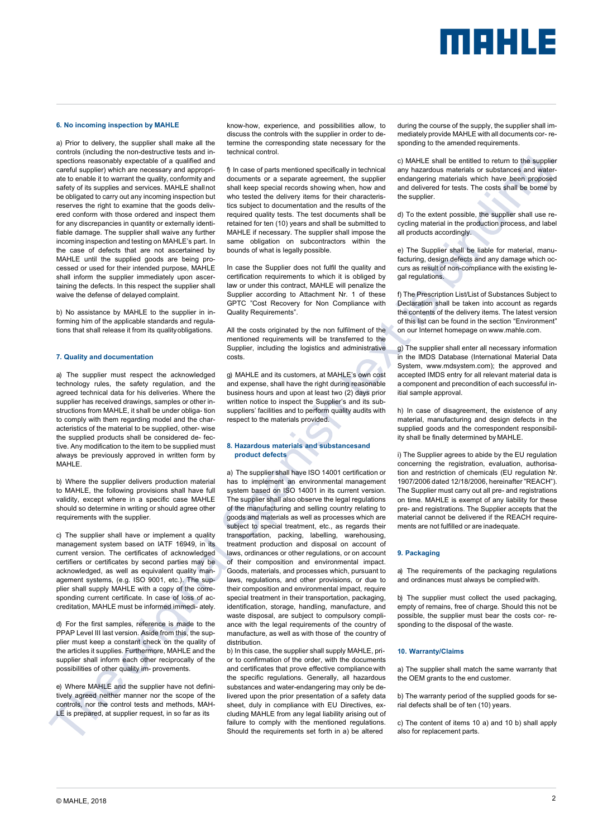# MEHLE

#### **6. No incoming inspection by MAHLE**

a) Prior to delivery, the supplier shall make all the controls (including the non-destructive tests and inspections reasonably expectable of a qualified and careful supplier) which are necessary and appropriate to enable it to warrant the quality, conformity and safety of its supplies and services. MAHLE shallnot be obligated to carry out any incoming inspection but reserves the right to examine that the goods delivered conform with those ordered and inspect them for any discrepancies in quantity or externally identifiable damage. The supplier shall waive any further incoming inspection and testing on MAHLE's part. In the case of defects that are not ascertained by MAHLE until the supplied goods are being processed or used for their intended purpose, MAHLE shall inform the supplier immediately upon ascertaining the defects. In this respect the supplier shall waive the defense of delayed complaint.

b) No assistance by MAHLE to the supplier in informing him of the applicable standards and regulations that shall release it from its qualityobligations.

#### **7. Quality and documentation**

a) The supplier must respect the acknowledged technology rules, the safety regulation, and the agreed technical data for his deliveries. Where the supplier has received drawings, samples or other instructions from MAHLE, it shall be under obliga- tion to comply with them regarding model and the characteristics of the material to be supplied, other- wise the supplied products shall be considered de- fective. Any modification to the item to be supplied must always be previously approved in written form by MAHI F

b) Where the supplier delivers production material to MAHLE, the following provisions shall have full validity, except where in a specific case MAHLE should so determine in writing or should agree other requirements with the supplier.

c) The supplier shall have or implement a quality management system based on IATF 16949, in its current version. The certificates of acknowledged certifiers or certificates by second parties may be acknowledged, as well as equivalent quality management systems, (e.g. ISO 9001, etc.). The supplier shall supply MAHLE with a copy of the corresponding current certificate. In case of loss of accreditation, MAHLE must be informed immedi- ately.

d) For the first samples, reference is made to the PPAP Level III last version. Aside from this, the supplier must keep a constant check on the quality of the articles it supplies. Furthermore, MAHLE and the supplier shall inform each other reciprocally of the possibilities of other quality im- provements.

e) Where MAHLE and the supplier have not definitively agreed neither manner nor the scope of the controls, nor the control tests and methods, MAH-LE is prepared, at supplier request, in so far as its

know-how, experience, and possibilities allow, to discuss the controls with the supplier in order to determine the corresponding state necessary for the technical control.

f) In case of parts mentioned specifically in technical documents or a separate agreement, the supplier shall keep special records showing when, how and who tested the delivery items for their characteristics subject to documentation and the results of the required quality tests. The test documents shall be retained for ten (10) years and shall be submitted to MAHLE if necessary. The supplier shall impose the same obligation on subcontractors within the bounds of what is legally possible.

In case the Supplier does not fulfil the quality and certification requirements to which it is obliged by law or under this contract, MAHLE will penalize the Supplier according to Attachment Nr. 1 of these GPTC "Cost Recovery for Non Compliance with Quality Requirements".

All the costs originated by the non fulfilment of the mentioned requirements will be transferred to the Supplier, including the logistics and administrative costs.

g) MAHLE and its customers, at MAHLE's own cost and expense, shall have the right during reasonable business hours and upon at least two (2) days prior written notice to inspect the Supplier's and its subsuppliers' facilities and to perform quality audits with respect to the materials provided.

#### **8. Hazardous materials and substancesand product defects**

a) The supplier shall have ISO 14001 certification or has to implement an environmental management system based on ISO 14001 in its current version. The supplier shall also observe the legal regulations of the manufacturing and selling country relating to goods and materials as well as processes which are subject to special treatment, etc., as regards their transportation, packing, labelling, warehousing, treatment production and disposal on account of laws, ordinances or other regulations, or on account of their composition and environmental impact. Goods, materials, and processes which, pursuant to laws, regulations, and other provisions, or due to their composition and environmental impact, require special treatment in their transportation, packaging, identification, storage, handling, manufacture, and waste disposal, are subject to compulsory compliance with the legal requirements of the country of manufacture, as well as with those of the country of distribution.

b) In this case, the supplier shall supply MAHLE, prior to confirmation of the order, with the documents and certificates that prove effective compliance with the specific regulations. Generally, all hazardous substances and water-endangering may only be delivered upon the prior presentation of a safety data sheet, duly in compliance with EU Directives, excluding MAHLE from any legal liability arising out of failure to comply with the mentioned regulations. Should the requirements set forth in a) be altered

during the course of the supply, the supplier shall immediately provide MAHLE with all documents cor- responding to the amended requirements.

c) MAHLE shall be entitled to return to the supplier any hazardous materials or substances and waterendangering materials which have been proposed and delivered for tests. The costs shall be borne by the supplier

d) To the extent possible, the supplier shall use recycling material in the production process, and label all products accordingly.

e) The Supplier shall be liable for material, manufacturing, design defects and any damage which occurs as result of non-compliance with the existing legal regulations.

f) The Prescription List/List of Substances Subject to Declaration shall be taken into account as regards the contents of the delivery items. The latest version of this list can be found in the section "Environment" on our Internet homepage on [www.mahle.com.](http://www.mahle.com/)

g) The supplier shall enter all necessary information in the IMDS Database (International Material Data System, www.mdsystem.com); the approved and accepted IMDS entry for all relevant material data is a component and precondition of each successful initial sample approval.

h) In case of disagreement, the existence of any material, manufacturing and design defects in the supplied goods and the correspondent responsibility shall be finally determined by MAHLE.

i) The Supplier agrees to abide by the EU regulation concerning the registration, evaluation, authorisation and restriction of chemicals (EU regulation Nr. 1907/2006 dated 12/18/2006, hereinafter "REACH"). The Supplier must carry out all pre- and registrations on time. MAHLE is exempt of any liability for these pre- and registrations. The Supplier accepts that the material cannot be delivered if the REACH requirements are not fulfilled or are inadequate.

#### **9. Packaging**

a) The requirements of the packaging regulations and ordinances must always be compliedwith.

b) The supplier must collect the used packaging, empty of remains, free of charge. Should this not be possible, the supplier must bear the costs cor- responding to the disposal of the waste.

#### **10. Warranty/Claims**

a) The supplier shall match the same warranty that the OEM grants to the end customer.

b) The warranty period of the supplied goods for serial defects shall be of ten (10) years.

c) The content of items 10 a) and 10 b) shall apply also for replacement parts.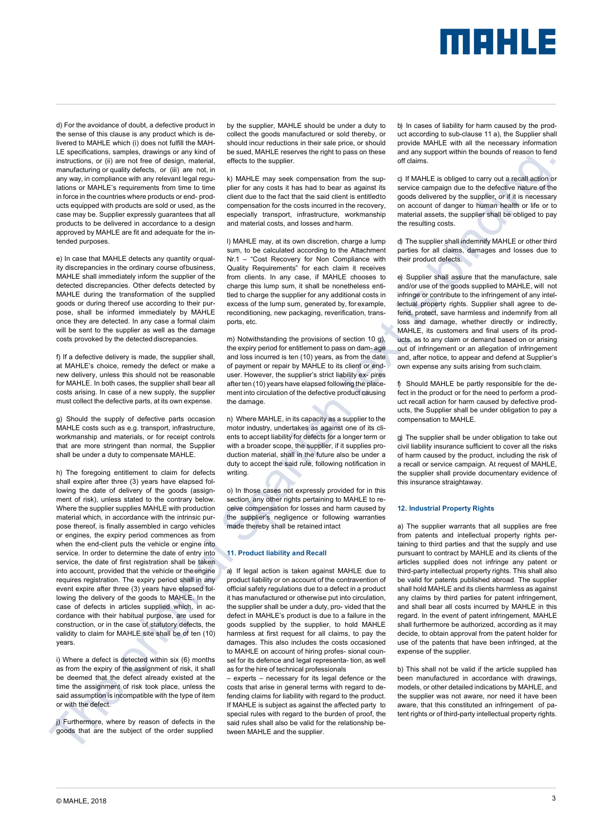# MAHLE

d) For the avoidance of doubt, a defective product in the sense of this clause is any product which is delivered to MAHLE which (i) does not fulfill the MAH-LE specifications, samples, drawings or any kind of instructions, or (ii) are not free of design, material, manufacturing or quality defects, or (iii) are not, in any way, in compliance with any relevant legal regulations or MAHLE's requirements from time to time in force in the countries where products or end- products equipped with products are sold or used, as the case may be. Supplier expressly guarantees that all products to be delivered in accordance to a design approved by MAHLE are fit and adequate for the intended purposes.

e) In case that MAHLE detects any quantity orquality discrepancies in the ordinary course ofbusiness, MAHLE shall immediately inform the supplier of the detected discrepancies. Other defects detected by MAHLE during the transformation of the supplied goods or during thereof use according to their purpose, shall be informed immediately by MAHLE once they are detected. In any case a formal claim will be sent to the supplier as well as the damage costs provoked by the detected discrepancies.

f) If a defective delivery is made, the supplier shall, at MAHLE's choice, remedy the defect or make a new delivery, unless this should not be reasonable for MAHLE. In both cases, the supplier shall bear all costs arising. In case of a new supply, the supplier must collect the defective parts, at its own expense.

g) Should the supply of defective parts occasion MAHLE costs such as e.g. transport, infrastructure, workmanship and materials, or for receipt controls that are more stringent than normal, the Supplier shall be under a duty to compensate MAHLE.

h) The foregoing entitlement to claim for defects shall expire after three (3) years have elapsed following the date of delivery of the goods (assignment of risk), unless stated to the contrary below. Where the supplier supplies MAHLE with production material which, in accordance with the intrinsic purpose thereof, is finally assembled in cargo vehicles or engines, the expiry period commences as from when the end-client puts the vehicle or engine into service. In order to determine the date of entry into service, the date of first registration shall be taken into account, provided that the vehicle or theengine requires registration. The expiry period shall in any event expire after three (3) years have elapsed following the delivery of the goods to MAHLE. In the case of defects in articles supplied which, in accordance with their habitual purpose, are used for construction, or in the case of statutory defects, the validity to claim for MAHLE site shall be of ten (10) years.

i) Where a defect is detected within six (6) months as from the expiry of the assignment of risk, it shall be deemed that the defect already existed at the time the assignment of risk took place, unless the said assumption is incompatible with the type of item or with the defect.

j) Furthermore, where by reason of defects in the goods that are the subject of the order supplied

by the supplier, MAHLE should be under a duty to collect the goods manufactured or sold thereby, or should incur reductions in their sale price, or should be sued, MAHLE reserves the right to pass on these effects to the supplier.

k) MAHLE may seek compensation from the supplier for any costs it has had to bear as against its client due to the fact that the said client is entitledto compensation for the costs incurred in the recovery, especially transport, infrastructure, workmanship and material costs, and losses and harm.

l) MAHLE may, at its own discretion, charge a lump sum, to be calculated according to the Attachment Nr.1 – "Cost Recovery for Non Compliance with Quality Requirements" for each claim it receives from clients. In any case, if MAHLE chooses to charge this lump sum, it shall be nonetheless entitled to charge the supplier for any additional costs in excess of the lump sum, generated by, for example, reconditioning, new packaging, reverification, transports, etc.

m) Notwithstanding the provisions of section 10 g), the expiry period for entitlement to pass on dam- age and loss incurred is ten (10) years, as from the date of payment or repair by MAHLE to its client or enduser. However, the supplier's strict liability ex- pires after ten (10) years have elapsed following the placement into circulation of the defective product causing the damage.

n) Where MAHLE, in its capacity as a supplier to the motor industry, undertakes as against one of its clients to accept liability for defects for a longer term or with a broader scope, the supplier, if it supplies production material, shall in the future also be under a duty to accept the said rule, following notification in writing.

o) In those cases not expressly provided for in this section, any other rights pertaining to MAHLE to receive compensation for losses and harm caused by the supplier's negligence or following warranties made thereby shall be retained intact

#### **11. Product liability and Recall**

a) If legal action is taken against MAHLE due to product liability or on account of the contravention of official safety regulations due to a defect in a product it has manufactured or otherwise put into circulation, the supplier shall be under a duty, pro- vided that the defect in MAHLE's product is due to a failure in the goods supplied by the supplier, to hold MAHLE harmless at first request for all claims, to pay the damages. This also includes the costs occasioned to MAHLE on account of hiring profes- sional counsel for its defence and legal representa- tion, as well as for the hire of technical professionals

– experts – necessary for its legal defence or the costs that arise in general terms with regard to defending claims for liability with regard to the product. If MAHLE is subject as against the affected party to special rules with regard to the burden of proof, the said rules shall also be valid for the relationship between MAHLE and the supplier.

b) In cases of liability for harm caused by the product according to sub-clause 11 a), the Supplier shall provide MAHLE with all the necessary information and any support within the bounds of reason to fend off claims.

c) If MAHLE is obliged to carry out a recall action or service campaign due to the defective nature of the goods delivered by the supplier, or if it is necessary on account of danger to human health or life or to material assets, the supplier shall be obliged to pay the resulting costs.

d) The supplier shall indemnify MAHLE or other third parties for all claims, damages and losses due to their product defects.

e) Supplier shall assure that the manufacture, sale and/or use of the goods supplied to MAHLE, will not infringe or contribute to the infringement of any intellectual property rights. Supplier shall agree to defend, protect, save harmless and indemnify from all loss and damage, whether directly or indirectly, MAHLE, its customers and final users of its products, as to any claim or demand based on or arising out of infringement or an allegation of infringement and, after notice, to appear and defend at Supplier's own expense any suits arising from suchclaim.

f) Should MAHLE be partly responsible for the defect in the product or for the need to perform a product recall action for harm caused by defective products, the Supplier shall be under obligation to pay a compensation to MAHLE.

g) The supplier shall be under obligation to take out civil liability insurance sufficient to cover all the risks of harm caused by the product, including the risk of a recall or service campaign. At request of MAHLE, the supplier shall provide documentary evidence of this insurance straightaway.

#### **12. Industrial Property Rights**

a) The supplier warrants that all supplies are free from patents and intellectual property rights pertaining to third parties and that the supply and use pursuant to contract by MAHLE and its clients of the articles supplied does not infringe any patent or third-party intellectual property rights. This shall also be valid for patents published abroad. The supplier shall hold MAHLE and its clients harmless as against any claims by third parties for patent infringement, and shall bear all costs incurred by MAHLE in this regard. In the event of patent infringement, MAHLE shall furthermore be authorized, according as it may decide, to obtain approval from the patent holder for use of the patents that have been infringed, at the expense of the supplier.

b) This shall not be valid if the article supplied has been manufactured in accordance with drawings, models, or other detailed indications by MAHLE, and the supplier was not aware, nor need it have been aware, that this constituted an infringement of patent rights or of third-party intellectual property rights.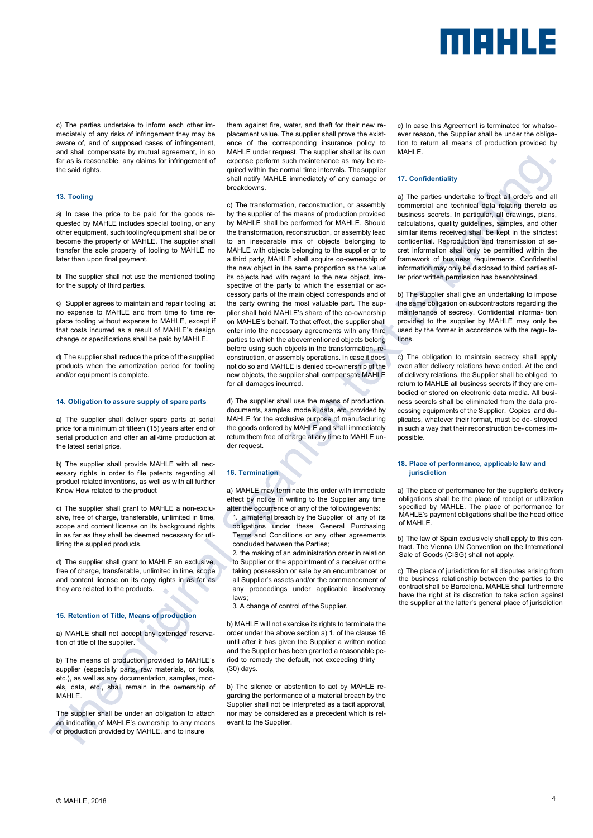## merus

c) The parties undertake to inform each other immediately of any risks of infringement they may be aware of, and of supposed cases of infringement, and shall compensate by mutual agreement, in so far as is reasonable, any claims for infringement of the said rights.

#### **13. Tooling**

a) In case the price to be paid for the goods requested by MAHLE includes special tooling, or any other equipment, such tooling/equipment shall be or become the property of MAHLE. The supplier shall transfer the sole property of tooling to MAHLE no later than upon final payment.

b) The supplier shall not use the mentioned tooling for the supply of third parties.

c) Supplier agrees to maintain and repair tooling at no expense to MAHLE and from time to time replace tooling without expense to MAHLE, except if that costs incurred as a result of MAHLE's design change or specifications shall be paid byMAHLE.

d) The supplier shall reduce the price of the supplied products when the amortization period for tooling and/or equipment is complete.

#### **14. Obligation to assure supply of spareparts**

a) The supplier shall deliver spare parts at serial price for a minimum of fifteen (15) years after end of serial production and offer an all-time production at the latest serial price.

b) The supplier shall provide MAHLE with all necessary rights in order to file patents regarding all product related inventions, as well as with all further Know How related to the product

c) The supplier shall grant to MAHLE a non-exclusive, free of charge, transferable, unlimited in time, scope and content license on its background rights in as far as they shall be deemed necessary for utilizing the supplied products.

d) The supplier shall grant to MAHLE an exclusive, free of charge, transferable, unlimited in time, scope and content license on its copy rights in as far as they are related to the products.

#### **15. Retention of Title, Means of production**

a) MAHLE shall not accept any extended reservation of title of the supplier.

b) The means of production provided to MAHLE's supplier (especially parts, raw materials, or tools, etc.), as well as any documentation, samples, models, data, etc., shall remain in the ownership of MAHI F

The supplier shall be under an obligation to attach an indication of MAHLE's ownership to any means of production provided by MAHLE, and to insure

them against fire, water, and theft for their new replacement value. The supplier shall prove the existence of the corresponding insurance policy to MAHLE under request. The supplier shall at its own expense perform such maintenance as may be required within the normal time intervals. Thesupplier shall notify MAHLE immediately of any damage or breakdowns.

c) The transformation, reconstruction, or assembly by the supplier of the means of production provided by MAHLE shall be performed for MAHLE. Should the transformation, reconstruction, or assembly lead to an inseparable mix of objects belonging to MAHLE with objects belonging to the supplier or to a third party, MAHLE shall acquire co-ownership of the new object in the same proportion as the value its objects had with regard to the new object, irrespective of the party to which the essential or accessory parts of the main object corresponds and of the party owning the most valuable part. The supplier shall hold MAHLE's share of the co-ownership on MAHLE's behalf. To that effect, the supplier shall enter into the necessary agreements with any third parties to which the abovementioned objects belong before using such objects in the transformation, reconstruction, or assembly operations. In case it does not do so and MAHLE is denied co-ownership of the new objects, the supplier shall compensate MAHLE for all damages incurred.

d) The supplier shall use the means of production, documents, samples, models, data, etc. provided by MAHLE for the exclusive purpose of manufacturing the goods ordered by MAHLE and shall immediately return them free of charge at any time to MAHLE under request.

#### **16. Termination**

a) MAHLE may terminate this order with immediate effect by notice in writing to the Supplier any time after the occurrence of any of the followingevents:

1. a material breach by the Supplier of any of its obligations under these General Purchasing Terms and Conditions or any other agreements concluded between the Parties;

2. the making of an administration order in relation to Supplier or the appointment of a receiver orthe taking possession or sale by an encumbrancer or all Supplier's assets and/or the commencement of any proceedings under applicable insolvency laws;

3. A change of control of theSupplier.

b) MAHLE will not exercise its rights to terminate the order under the above section a) 1. of the clause 16 until after it has given the Supplier a written notice and the Supplier has been granted a reasonable period to remedy the default, not exceeding thirty (30) days.

b) The silence or abstention to act by MAHLE regarding the performance of a material breach by the Supplier shall not be interpreted as a tacit approval, nor may be considered as a precedent which is relevant to the Supplier.

c) In case this Agreement is terminated for whatsoever reason, the Supplier shall be under the obligation to return all means of production provided by MAHLE.

#### **17. Confidentiality**

a) The parties undertake to treat all orders and all commercial and technical data relating thereto as business secrets. In particular, all drawings, plans, calculations, quality guidelines, samples, and other similar items received shall be kept in the strictest confidential. Reproduction and transmission of secret information shall only be permitted within the framework of business requirements. Confidential information may only be disclosed to third parties after prior written permission has beenobtained.

b) The supplier shall give an undertaking to impose the same obligation on subcontractors regarding the maintenance of secrecy. Confidential informa- tion provided to the supplier by MAHLE may only be used by the former in accordance with the regu- lations.

c) The obligation to maintain secrecy shall apply even after delivery relations have ended. At the end of delivery relations, the Supplier shall be obliged to return to MAHLE all business secrets if they are embodied or stored on electronic data media. All business secrets shall be eliminated from the data processing equipments of the Supplier. Copies and duplicates, whatever their format, must be de- stroyed in such a way that their reconstruction be- comes impossible.

#### **18. Place of performance, applicable law and jurisdiction**

a) The place of performance for the supplier's delivery obligations shall be the place of receipt or utilization specified by MAHLE. The place of performance for MAHLE's payment obligations shall be the head office of MAHLE.

b) The law of Spain exclusively shall apply to this contract. The Vienna UN Convention on the International Sale of Goods (CISG) shall not apply.

c) The place of jurisdiction for all disputes arising from the business relationship between the parties to the contract shall be Barcelona. MAHLE shall furthermore have the right at its discretion to take action against the supplier at the latter's general place of jurisdiction